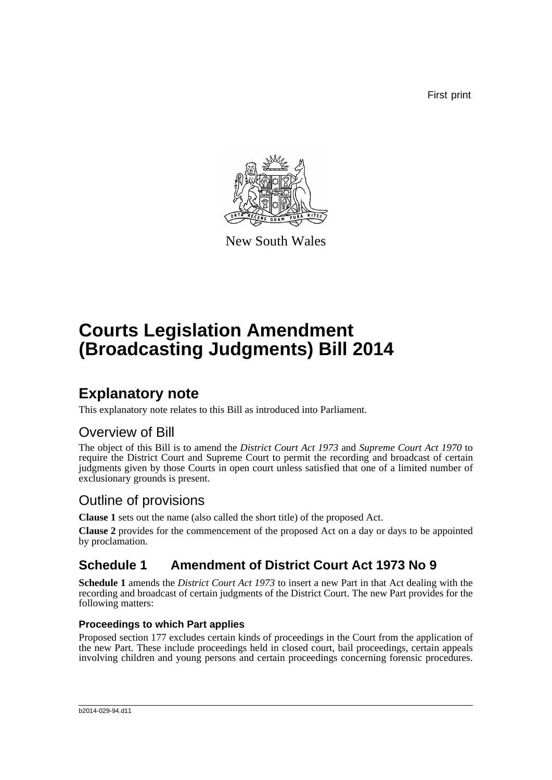First print



New South Wales

# **Courts Legislation Amendment (Broadcasting Judgments) Bill 2014**

## **Explanatory note**

This explanatory note relates to this Bill as introduced into Parliament.

## Overview of Bill

The object of this Bill is to amend the *District Court Act 1973* and *Supreme Court Act 1970* to require the District Court and Supreme Court to permit the recording and broadcast of certain judgments given by those Courts in open court unless satisfied that one of a limited number of exclusionary grounds is present.

## Outline of provisions

**Clause 1** sets out the name (also called the short title) of the proposed Act.

**Clause 2** provides for the commencement of the proposed Act on a day or days to be appointed by proclamation.

## **Schedule 1 Amendment of District Court Act 1973 No 9**

**Schedule 1** amends the *District Court Act 1973* to insert a new Part in that Act dealing with the recording and broadcast of certain judgments of the District Court. The new Part provides for the following matters:

### **Proceedings to which Part applies**

Proposed section 177 excludes certain kinds of proceedings in the Court from the application of the new Part. These include proceedings held in closed court, bail proceedings, certain appeals involving children and young persons and certain proceedings concerning forensic procedures.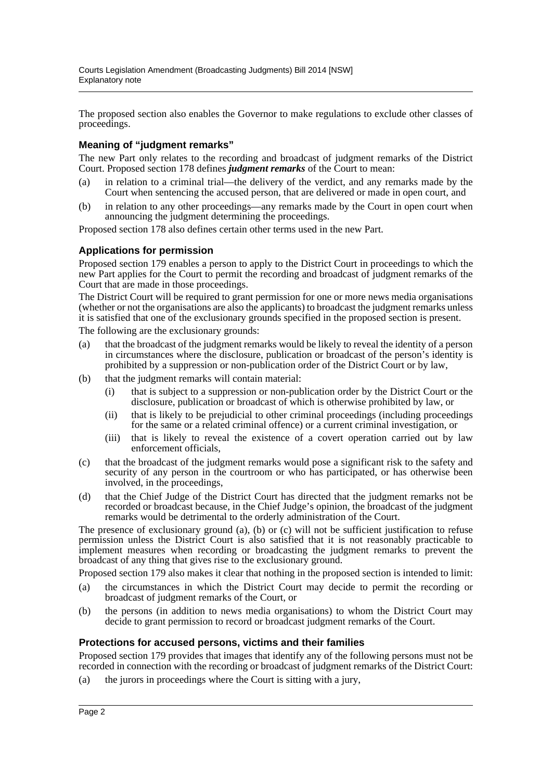The proposed section also enables the Governor to make regulations to exclude other classes of proceedings.

#### **Meaning of "judgment remarks"**

The new Part only relates to the recording and broadcast of judgment remarks of the District Court. Proposed section 178 defines *judgment remarks* of the Court to mean:

- (a) in relation to a criminal trial—the delivery of the verdict, and any remarks made by the Court when sentencing the accused person, that are delivered or made in open court, and
- (b) in relation to any other proceedings—any remarks made by the Court in open court when announcing the judgment determining the proceedings.

Proposed section 178 also defines certain other terms used in the new Part.

#### **Applications for permission**

Proposed section 179 enables a person to apply to the District Court in proceedings to which the new Part applies for the Court to permit the recording and broadcast of judgment remarks of the Court that are made in those proceedings.

The District Court will be required to grant permission for one or more news media organisations (whether or not the organisations are also the applicants) to broadcast the judgment remarks unless it is satisfied that one of the exclusionary grounds specified in the proposed section is present.

The following are the exclusionary grounds:

- (a) that the broadcast of the judgment remarks would be likely to reveal the identity of a person in circumstances where the disclosure, publication or broadcast of the person's identity is prohibited by a suppression or non-publication order of the District Court or by law,
- (b) that the judgment remarks will contain material:
	- (i) that is subject to a suppression or non-publication order by the District Court or the disclosure, publication or broadcast of which is otherwise prohibited by law, or
	- (ii) that is likely to be prejudicial to other criminal proceedings (including proceedings for the same or a related criminal offence) or a current criminal investigation, or
	- (iii) that is likely to reveal the existence of a covert operation carried out by law enforcement officials,
- (c) that the broadcast of the judgment remarks would pose a significant risk to the safety and security of any person in the courtroom or who has participated, or has otherwise been involved, in the proceedings,
- (d) that the Chief Judge of the District Court has directed that the judgment remarks not be recorded or broadcast because, in the Chief Judge's opinion, the broadcast of the judgment remarks would be detrimental to the orderly administration of the Court.

The presence of exclusionary ground (a), (b) or (c) will not be sufficient justification to refuse permission unless the District Court is also satisfied that it is not reasonably practicable to implement measures when recording or broadcasting the judgment remarks to prevent the broadcast of any thing that gives rise to the exclusionary ground.

Proposed section 179 also makes it clear that nothing in the proposed section is intended to limit:

- (a) the circumstances in which the District Court may decide to permit the recording or broadcast of judgment remarks of the Court, or
- (b) the persons (in addition to news media organisations) to whom the District Court may decide to grant permission to record or broadcast judgment remarks of the Court.

#### **Protections for accused persons, victims and their families**

Proposed section 179 provides that images that identify any of the following persons must not be recorded in connection with the recording or broadcast of judgment remarks of the District Court:

(a) the jurors in proceedings where the Court is sitting with a jury,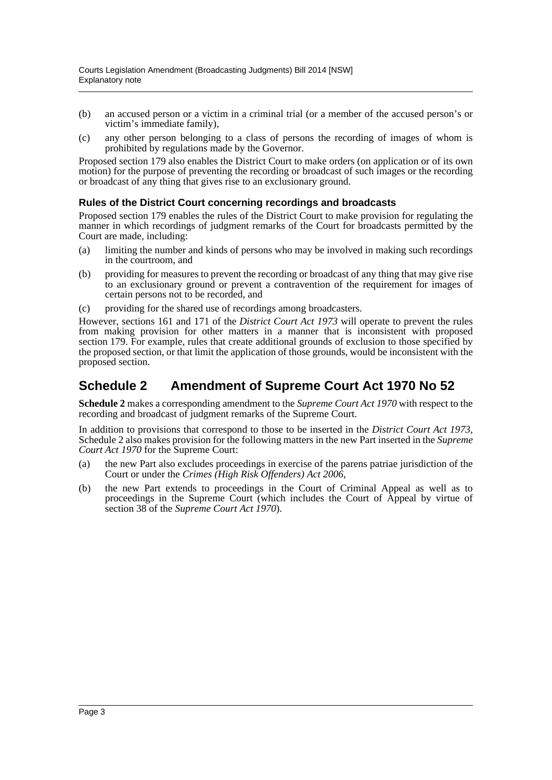- (b) an accused person or a victim in a criminal trial (or a member of the accused person's or victim's immediate family),
- (c) any other person belonging to a class of persons the recording of images of whom is prohibited by regulations made by the Governor.

Proposed section 179 also enables the District Court to make orders (on application or of its own motion) for the purpose of preventing the recording or broadcast of such images or the recording or broadcast of any thing that gives rise to an exclusionary ground.

#### **Rules of the District Court concerning recordings and broadcasts**

Proposed section 179 enables the rules of the District Court to make provision for regulating the manner in which recordings of judgment remarks of the Court for broadcasts permitted by the Court are made, including:

- (a) limiting the number and kinds of persons who may be involved in making such recordings in the courtroom, and
- (b) providing for measures to prevent the recording or broadcast of any thing that may give rise to an exclusionary ground or prevent a contravention of the requirement for images of certain persons not to be recorded, and
- (c) providing for the shared use of recordings among broadcasters.

However, sections 161 and 171 of the *District Court Act 1973* will operate to prevent the rules from making provision for other matters in a manner that is inconsistent with proposed section 179. For example, rules that create additional grounds of exclusion to those specified by the proposed section, or that limit the application of those grounds, would be inconsistent with the proposed section.

### **Schedule 2 Amendment of Supreme Court Act 1970 No 52**

**Schedule 2** makes a corresponding amendment to the *Supreme Court Act 1970* with respect to the recording and broadcast of judgment remarks of the Supreme Court.

In addition to provisions that correspond to those to be inserted in the *District Court Act 1973*, Schedule 2 also makes provision for the following matters in the new Part inserted in the *Supreme Court Act 1970* for the Supreme Court:

- (a) the new Part also excludes proceedings in exercise of the parens patriae jurisdiction of the Court or under the *Crimes (High Risk Offenders) Act 2006*,
- (b) the new Part extends to proceedings in the Court of Criminal Appeal as well as to proceedings in the Supreme Court (which includes the Court of Appeal by virtue of section 38 of the *Supreme Court Act 1970*).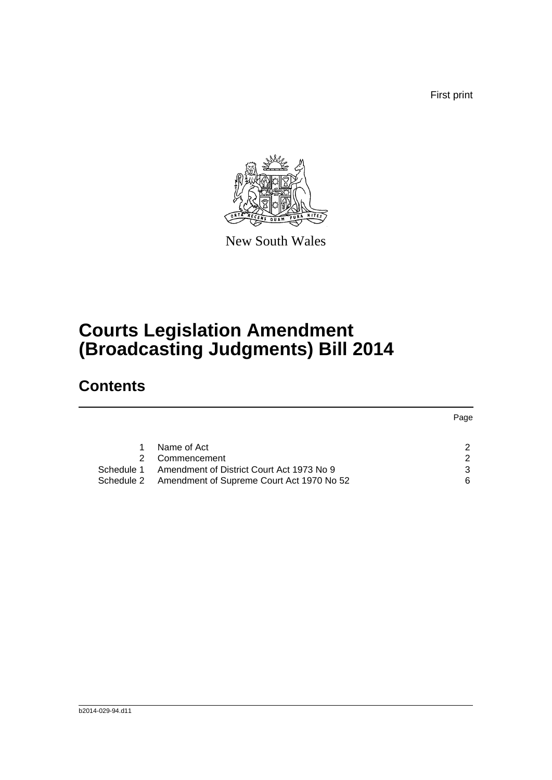First print



New South Wales

# **Courts Legislation Amendment (Broadcasting Judgments) Bill 2014**

## **Contents**

|            |                                                      | Page |
|------------|------------------------------------------------------|------|
|            | Name of Act                                          | 2    |
|            | Commencement                                         | 2    |
| Schedule 1 | Amendment of District Court Act 1973 No 9            | 3    |
|            | Schedule 2 Amendment of Supreme Court Act 1970 No 52 | 6    |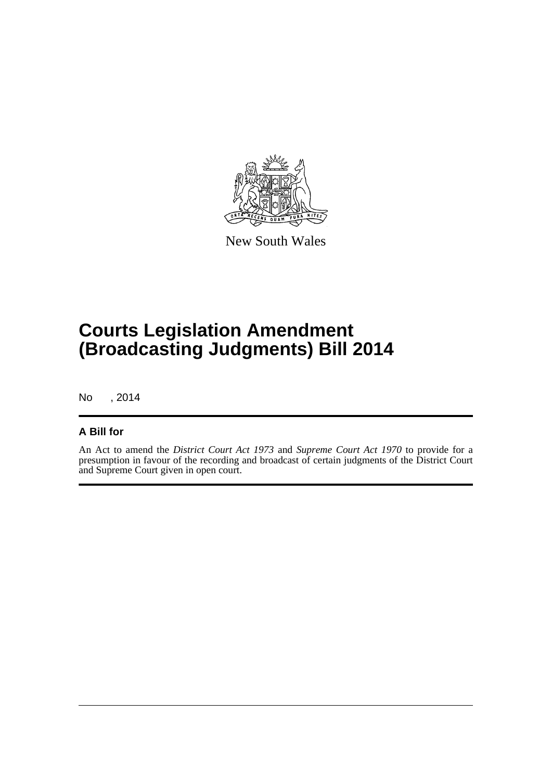

New South Wales

# **Courts Legislation Amendment (Broadcasting Judgments) Bill 2014**

No , 2014

### **A Bill for**

An Act to amend the *District Court Act 1973* and *Supreme Court Act 1970* to provide for a presumption in favour of the recording and broadcast of certain judgments of the District Court and Supreme Court given in open court.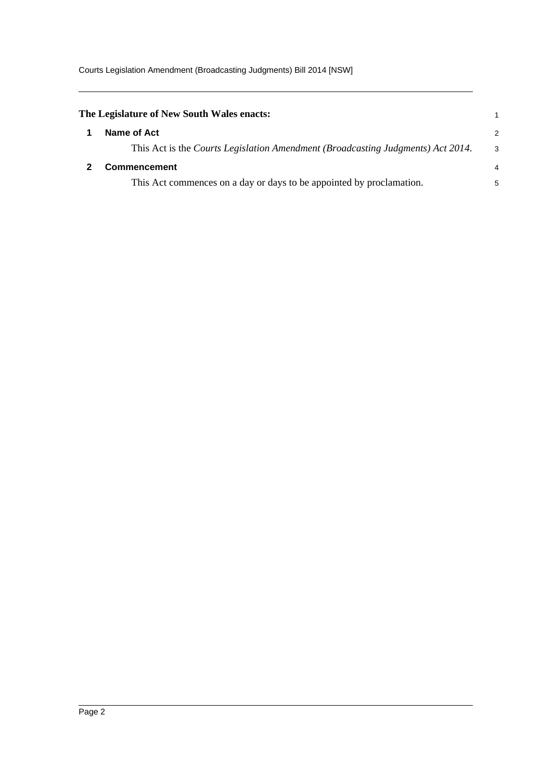<span id="page-5-1"></span><span id="page-5-0"></span>

| The Legislature of New South Wales enacts:                                      |    |
|---------------------------------------------------------------------------------|----|
| Name of Act                                                                     | 2  |
| This Act is the Courts Legislation Amendment (Broadcasting Judgments) Act 2014. | -3 |
| <b>Commencement</b>                                                             | 4  |
| This Act commences on a day or days to be appointed by proclamation.            | 5  |
|                                                                                 |    |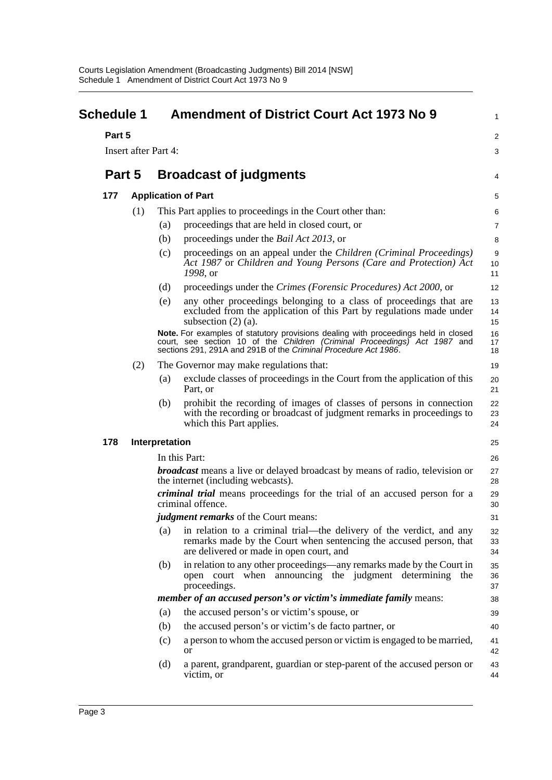<span id="page-6-0"></span>

| <b>Schedule 1</b> |        |                      |     | <b>Amendment of District Court Act 1973 No 9</b>                                                                                                                                                                                   | 1                       |
|-------------------|--------|----------------------|-----|------------------------------------------------------------------------------------------------------------------------------------------------------------------------------------------------------------------------------------|-------------------------|
|                   | Part 5 |                      |     |                                                                                                                                                                                                                                    | $\overline{\mathbf{c}}$ |
|                   |        | Insert after Part 4: |     |                                                                                                                                                                                                                                    | 3                       |
|                   |        |                      |     |                                                                                                                                                                                                                                    |                         |
|                   | Part 5 |                      |     | <b>Broadcast of judgments</b>                                                                                                                                                                                                      | 4                       |
| 177               |        |                      |     | <b>Application of Part</b>                                                                                                                                                                                                         | 5                       |
|                   |        | (1)                  |     | This Part applies to proceedings in the Court other than:                                                                                                                                                                          | 6                       |
|                   |        |                      | (a) | proceedings that are held in closed court, or                                                                                                                                                                                      | 7                       |
|                   |        |                      | (b) | proceedings under the <i>Bail Act 2013</i> , or                                                                                                                                                                                    | 8                       |
|                   |        |                      | (c) | proceedings on an appeal under the Children (Criminal Proceedings)<br>Act 1987 or Children and Young Persons (Care and Protection) Act<br>1998, or                                                                                 | 9<br>10<br>11           |
|                   |        |                      | (d) | proceedings under the Crimes (Forensic Procedures) Act 2000, or                                                                                                                                                                    | 12                      |
|                   |        |                      | (e) | any other proceedings belonging to a class of proceedings that are<br>excluded from the application of this Part by regulations made under<br>subsection $(2)$ $(a)$ .                                                             | 13<br>14<br>15          |
|                   |        |                      |     | Note. For examples of statutory provisions dealing with proceedings held in closed<br>court, see section 10 of the Children (Criminal Proceedings) Act 1987 and<br>sections 291, 291A and 291B of the Criminal Procedure Act 1986. | 16<br>17<br>18          |
|                   |        | (2)                  |     | The Governor may make regulations that:                                                                                                                                                                                            | 19                      |
|                   |        |                      | (a) | exclude classes of proceedings in the Court from the application of this<br>Part, or                                                                                                                                               | 20<br>21                |
|                   |        |                      | (b) | prohibit the recording of images of classes of persons in connection<br>with the recording or broadcast of judgment remarks in proceedings to<br>which this Part applies.                                                          | 22<br>23<br>24          |
| 178               |        | Interpretation       |     |                                                                                                                                                                                                                                    | 25                      |
|                   |        |                      |     | In this Part:                                                                                                                                                                                                                      | 26                      |
|                   |        |                      |     | <b><i>broadcast</i></b> means a live or delayed broadcast by means of radio, television or<br>the internet (including webcasts).                                                                                                   | 27<br>28                |
|                   |        |                      |     | criminal trial means proceedings for the trial of an accused person for a<br>criminal offence.                                                                                                                                     | 29<br>30                |
|                   |        |                      |     | <i>judgment remarks</i> of the Court means:                                                                                                                                                                                        | 31                      |
|                   |        |                      | (a) | in relation to a criminal trial—the delivery of the verdict, and any<br>remarks made by the Court when sentencing the accused person, that<br>are delivered or made in open court, and                                             | 32<br>33<br>34          |
|                   |        |                      | (b) | in relation to any other proceedings—any remarks made by the Court in<br>open court when announcing the judgment determining the<br>proceedings.                                                                                   | 35<br>36<br>37          |
|                   |        |                      |     | member of an accused person's or victim's immediate family means:                                                                                                                                                                  | 38                      |
|                   |        |                      | (a) | the accused person's or victim's spouse, or                                                                                                                                                                                        | 39                      |
|                   |        |                      | (b) | the accused person's or victim's de facto partner, or                                                                                                                                                                              | 40                      |
|                   |        |                      | (c) | a person to whom the accused person or victim is engaged to be married,<br><b>or</b>                                                                                                                                               | 41<br>42                |
|                   |        |                      | (d) | a parent, grandparent, guardian or step-parent of the accused person or<br>victim, or                                                                                                                                              | 43<br>44                |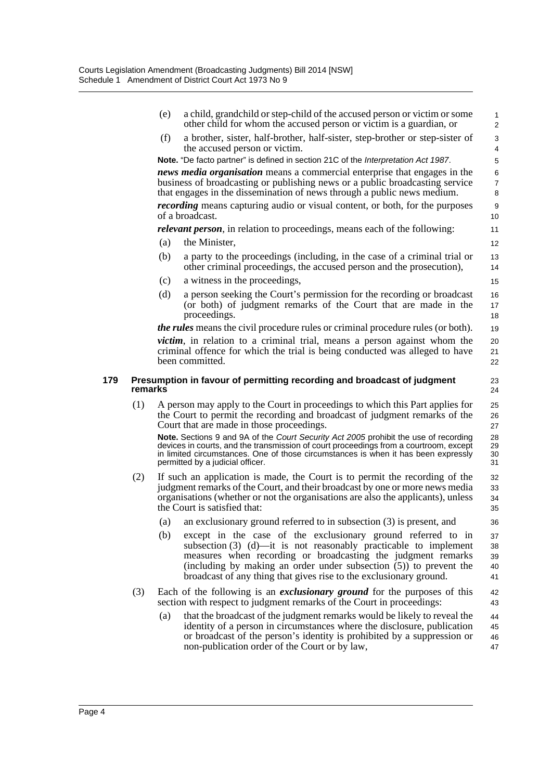(e) a child, grandchild or step-child of the accused person or victim or some other child for whom the accused person or victim is a guardian, or (f) a brother, sister, half-brother, half-sister, step-brother or step-sister of the accused person or victim. **Note.** "De facto partner" is defined in section 21C of the *Interpretation Act 1987*. *news media organisation* means a commercial enterprise that engages in the business of broadcasting or publishing news or a public broadcasting service that engages in the dissemination of news through a public news medium. *recording* means capturing audio or visual content, or both, for the purposes of a broadcast. *relevant person*, in relation to proceedings, means each of the following: (a) the Minister, (b) a party to the proceedings (including, in the case of a criminal trial or other criminal proceedings, the accused person and the prosecution), (c) a witness in the proceedings, (d) a person seeking the Court's permission for the recording or broadcast (or both) of judgment remarks of the Court that are made in the proceedings. *the rules* means the civil procedure rules or criminal procedure rules (or both). *victim*, in relation to a criminal trial, means a person against whom the criminal offence for which the trial is being conducted was alleged to have been committed. **179 Presumption in favour of permitting recording and broadcast of judgment remarks** (1) A person may apply to the Court in proceedings to which this Part applies for the Court to permit the recording and broadcast of judgment remarks of the Court that are made in those proceedings. **Note.** Sections 9 and 9A of the *Court Security Act 2005* prohibit the use of recording devices in courts, and the transmission of court proceedings from a courtroom, except in limited circumstances. One of those circumstances is when it has been expressly permitted by a judicial officer. (2) If such an application is made, the Court is to permit the recording of the judgment remarks of the Court, and their broadcast by one or more news media organisations (whether or not the organisations are also the applicants), unless the Court is satisfied that: (a) an exclusionary ground referred to in subsection (3) is present, and (b) except in the case of the exclusionary ground referred to in subsection (3) (d)—it is not reasonably practicable to implement measures when recording or broadcasting the judgment remarks (including by making an order under subsection (5)) to prevent the broadcast of any thing that gives rise to the exclusionary ground. (3) Each of the following is an *exclusionary ground* for the purposes of this section with respect to judgment remarks of the Court in proceedings: (a) that the broadcast of the judgment remarks would be likely to reveal the identity of a person in circumstances where the disclosure, publication or broadcast of the person's identity is prohibited by a suppression or 1 2  $\overline{a}$ 4 5 6 7 8 9 10 11 12 13 14 15 16 17 18 19 20 21 22 23 24 25 26 27 28 29 30 31 32 33 34 35 36 37 38 39 40 41 42 43 44 45 46

non-publication order of the Court or by law,

47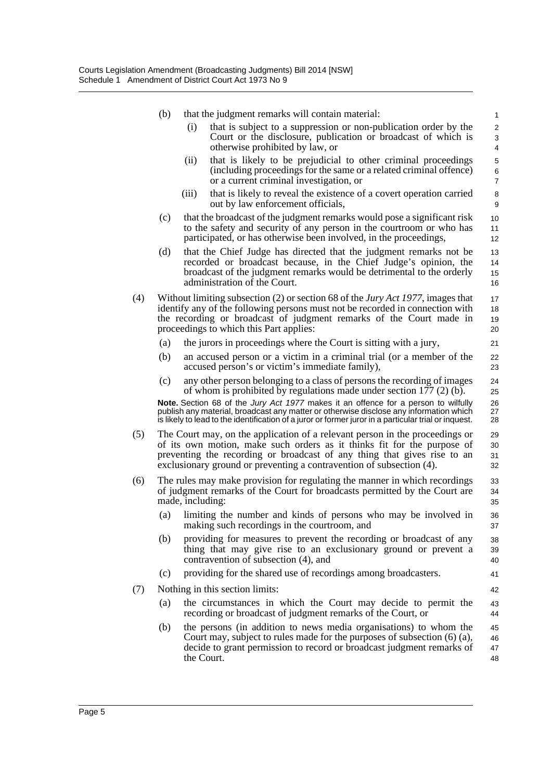|     | (b) | that the judgment remarks will contain material:                                                                                                                                                                                                                                                                                    | 1                                 |  |  |
|-----|-----|-------------------------------------------------------------------------------------------------------------------------------------------------------------------------------------------------------------------------------------------------------------------------------------------------------------------------------------|-----------------------------------|--|--|
|     |     | (i)<br>that is subject to a suppression or non-publication order by the<br>Court or the disclosure, publication or broadcast of which is<br>otherwise prohibited by law, or                                                                                                                                                         | $\overline{\mathbf{c}}$<br>3<br>4 |  |  |
|     |     | that is likely to be prejudicial to other criminal proceedings<br>(ii)<br>(including proceedings for the same or a related criminal offence)<br>or a current criminal investigation, or                                                                                                                                             | 5<br>6<br>7                       |  |  |
|     |     | that is likely to reveal the existence of a covert operation carried<br>(iii)<br>out by law enforcement officials,                                                                                                                                                                                                                  | 8<br>9                            |  |  |
|     | (c) | that the broadcast of the judgment remarks would pose a significant risk<br>to the safety and security of any person in the courtroom or who has<br>participated, or has otherwise been involved, in the proceedings,                                                                                                               | 10<br>11<br>12                    |  |  |
|     | (d) | that the Chief Judge has directed that the judgment remarks not be<br>recorded or broadcast because, in the Chief Judge's opinion, the<br>broadcast of the judgment remarks would be detrimental to the orderly<br>administration of the Court.                                                                                     | 13<br>14<br>15<br>16              |  |  |
| (4) |     | Without limiting subsection (2) or section 68 of the <i>Jury Act 1977</i> , images that<br>identify any of the following persons must not be recorded in connection with<br>the recording or broadcast of judgment remarks of the Court made in<br>proceedings to which this Part applies:                                          | 17<br>18<br>19<br>20              |  |  |
|     | (a) | the jurors in proceedings where the Court is sitting with a jury,                                                                                                                                                                                                                                                                   | 21                                |  |  |
|     | (b) | an accused person or a victim in a criminal trial (or a member of the<br>accused person's or victim's immediate family),                                                                                                                                                                                                            | 22<br>23                          |  |  |
|     | (c) | any other person belonging to a class of persons the recording of images<br>of whom is prohibited by regulations made under section $177(2)$ (b).                                                                                                                                                                                   | 24<br>25                          |  |  |
|     |     | Note. Section 68 of the Jury Act 1977 makes it an offence for a person to wilfully<br>publish any material, broadcast any matter or otherwise disclose any information which<br>is likely to lead to the identification of a juror or former juror in a particular trial or inquest.                                                | 26<br>27<br>28                    |  |  |
| (5) |     | The Court may, on the application of a relevant person in the proceedings or<br>29<br>of its own motion, make such orders as it thinks fit for the purpose of<br>30<br>preventing the recording or broadcast of any thing that gives rise to an<br>31<br>exclusionary ground or preventing a contravention of subsection (4).<br>32 |                                   |  |  |
| (6) |     | The rules may make provision for regulating the manner in which recordings<br>of judgment remarks of the Court for broadcasts permitted by the Court are<br>made, including:                                                                                                                                                        | 33<br>34<br>35                    |  |  |
|     |     | (a) limiting the number and kinds of persons who may be involved in<br>making such recordings in the courtroom, and                                                                                                                                                                                                                 | 36<br>37                          |  |  |
|     | (b) | providing for measures to prevent the recording or broadcast of any<br>thing that may give rise to an exclusionary ground or prevent a<br>contravention of subsection (4), and                                                                                                                                                      | 38<br>39<br>40                    |  |  |
|     | (c) | providing for the shared use of recordings among broadcasters.                                                                                                                                                                                                                                                                      | 41                                |  |  |
| (7) |     | Nothing in this section limits:                                                                                                                                                                                                                                                                                                     | 42                                |  |  |
|     | (a) | the circumstances in which the Court may decide to permit the<br>recording or broadcast of judgment remarks of the Court, or                                                                                                                                                                                                        | 43<br>44                          |  |  |
|     | (b) | the persons (in addition to news media organisations) to whom the<br>Court may, subject to rules made for the purposes of subsection $(6)$ $(a)$ ,<br>decide to grant permission to record or broadcast judgment remarks of<br>the Court.                                                                                           | 45<br>46<br>47<br>48              |  |  |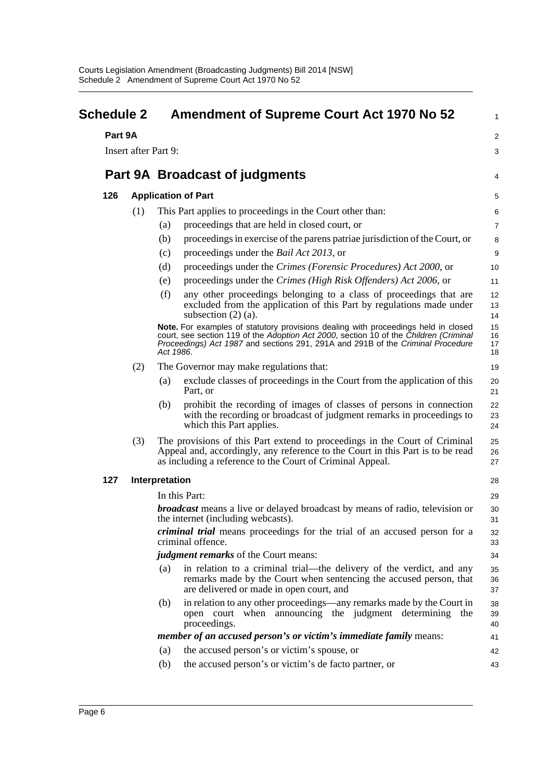<span id="page-9-0"></span>

| <b>Schedule 2</b>    |     | <b>Amendment of Supreme Court Act 1970 No 52</b>                                                                                                                                                                                                                            | 1                    |
|----------------------|-----|-----------------------------------------------------------------------------------------------------------------------------------------------------------------------------------------------------------------------------------------------------------------------------|----------------------|
| Part 9A              |     |                                                                                                                                                                                                                                                                             | $\overline{a}$       |
| Insert after Part 9: |     |                                                                                                                                                                                                                                                                             | 3                    |
|                      |     |                                                                                                                                                                                                                                                                             |                      |
|                      |     | Part 9A Broadcast of judgments                                                                                                                                                                                                                                              | 4                    |
| 126                  |     | <b>Application of Part</b>                                                                                                                                                                                                                                                  | 5                    |
|                      | (1) | This Part applies to proceedings in the Court other than:                                                                                                                                                                                                                   | 6                    |
|                      |     | proceedings that are held in closed court, or<br>(a)                                                                                                                                                                                                                        | 7                    |
|                      |     | (b)<br>proceedings in exercise of the parent patriae jurisdiction of the Court, or                                                                                                                                                                                          | 8                    |
|                      |     | proceedings under the <i>Bail Act 2013</i> , or<br>(c)                                                                                                                                                                                                                      | 9                    |
|                      |     | (d)<br>proceedings under the Crimes (Forensic Procedures) Act 2000, or                                                                                                                                                                                                      | 10                   |
|                      |     | proceedings under the Crimes (High Risk Offenders) Act 2006, or<br>(e)                                                                                                                                                                                                      | 11                   |
|                      |     | (f)<br>any other proceedings belonging to a class of proceedings that are<br>excluded from the application of this Part by regulations made under<br>subsection $(2)$ $(a)$ .                                                                                               | 12<br>13<br>14       |
|                      |     | Note. For examples of statutory provisions dealing with proceedings held in closed<br>court, see section 119 of the Adoption Act 2000, section 10 of the Children (Criminal<br>Proceedings) Act 1987 and sections 291, 291A and 291B of the Criminal Procedure<br>Act 1986. | 15<br>16<br>17<br>18 |
|                      | (2) | The Governor may make regulations that:                                                                                                                                                                                                                                     | 19                   |
|                      |     | exclude classes of proceedings in the Court from the application of this<br>(a)<br>Part, or                                                                                                                                                                                 | 20<br>21             |
|                      |     | prohibit the recording of images of classes of persons in connection<br>(b)<br>with the recording or broadcast of judgment remarks in proceedings to<br>which this Part applies.                                                                                            | 22<br>23<br>24       |
|                      | (3) | The provisions of this Part extend to proceedings in the Court of Criminal<br>Appeal and, accordingly, any reference to the Court in this Part is to be read<br>as including a reference to the Court of Criminal Appeal.                                                   | 25<br>26<br>27       |
| 127                  |     | Interpretation                                                                                                                                                                                                                                                              | 28                   |
|                      |     | In this Part:                                                                                                                                                                                                                                                               | 29                   |
|                      |     | <b><i>broadcast</i></b> means a live or delayed broadcast by means of radio, television or<br>the internet (including webcasts).                                                                                                                                            | 30<br>31             |
|                      |     | <i>criminal trial</i> means proceedings for the trial of an accused person for a<br>criminal offence.                                                                                                                                                                       | 32<br>33             |
|                      |     | <i>judgment remarks</i> of the Court means:                                                                                                                                                                                                                                 | 34                   |
|                      |     | in relation to a criminal trial—the delivery of the verdict, and any<br>(a)<br>remarks made by the Court when sentencing the accused person, that<br>are delivered or made in open court, and                                                                               | 35<br>36<br>37       |
|                      |     | in relation to any other proceedings—any remarks made by the Court in<br>(b)<br>open court when announcing the judgment determining the<br>proceedings.                                                                                                                     | 38<br>39<br>40       |
|                      |     | <i>member of an accused person's or victim's immediate family means:</i>                                                                                                                                                                                                    | 41                   |
|                      |     | the accused person's or victim's spouse, or<br>(a)                                                                                                                                                                                                                          | 42                   |
|                      |     | the accused person's or victim's de facto partner, or<br>(b)                                                                                                                                                                                                                | 43                   |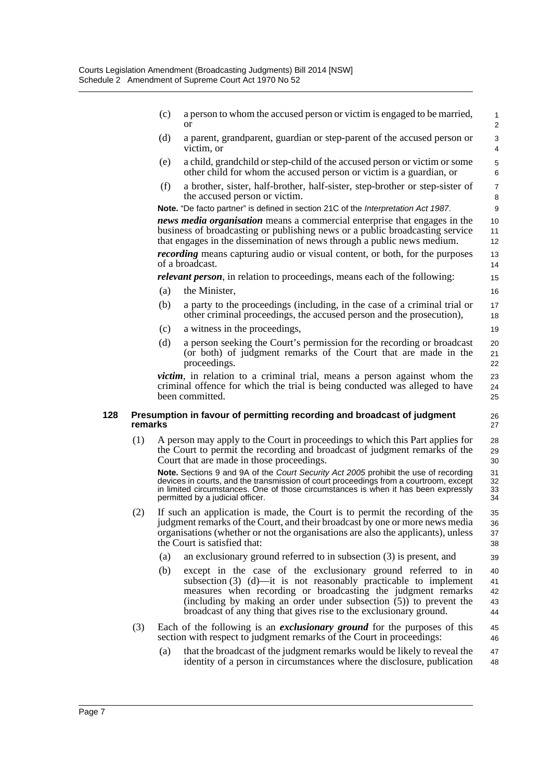- (c) a person to whom the accused person or victim is engaged to be married, or (d) a parent, grandparent, guardian or step-parent of the accused person or victim, or (e) a child, grandchild or step-child of the accused person or victim or some other child for whom the accused person or victim is a guardian, or 1 2  $\overline{\mathbf{3}}$ 4 5 6 7
- (f) a brother, sister, half-brother, half-sister, step-brother or step-sister of the accused person or victim.

**Note.** "De facto partner" is defined in section 21C of the *Interpretation Act 1987*.

*news media organisation* means a commercial enterprise that engages in the business of broadcasting or publishing news or a public broadcasting service that engages in the dissemination of news through a public news medium. *recording* means capturing audio or visual content, or both, for the purposes

of a broadcast.

*relevant person*, in relation to proceedings, means each of the following:

- (a) the Minister,
- (b) a party to the proceedings (including, in the case of a criminal trial or other criminal proceedings, the accused person and the prosecution),
- (c) a witness in the proceedings,
- (d) a person seeking the Court's permission for the recording or broadcast (or both) of judgment remarks of the Court that are made in the proceedings.

*victim*, in relation to a criminal trial, means a person against whom the criminal offence for which the trial is being conducted was alleged to have been committed.

#### **128 Presumption in favour of permitting recording and broadcast of judgment remarks**

(1) A person may apply to the Court in proceedings to which this Part applies for the Court to permit the recording and broadcast of judgment remarks of the Court that are made in those proceedings.

**Note.** Sections 9 and 9A of the *Court Security Act 2005* prohibit the use of recording devices in courts, and the transmission of court proceedings from a courtroom, except in limited circumstances. One of those circumstances is when it has been expressly permitted by a judicial officer.

- (2) If such an application is made, the Court is to permit the recording of the judgment remarks of the Court, and their broadcast by one or more news media organisations (whether or not the organisations are also the applicants), unless the Court is satisfied that:
	- (a) an exclusionary ground referred to in subsection (3) is present, and
	- (b) except in the case of the exclusionary ground referred to in subsection (3) (d)—it is not reasonably practicable to implement measures when recording or broadcasting the judgment remarks (including by making an order under subsection (5)) to prevent the broadcast of any thing that gives rise to the exclusionary ground. 40 41 42 43 44
- (3) Each of the following is an *exclusionary ground* for the purposes of this section with respect to judgment remarks of the Court in proceedings: 45 46
	- (a) that the broadcast of the judgment remarks would be likely to reveal the identity of a person in circumstances where the disclosure, publication 47 48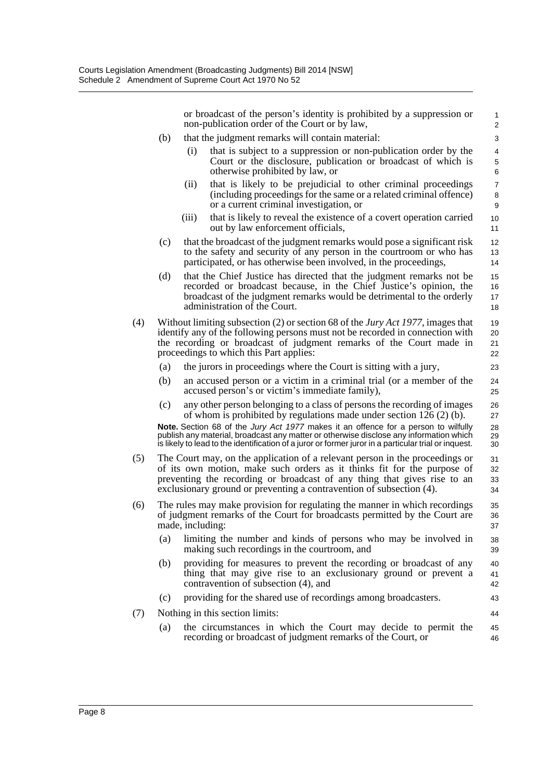or broadcast of the person's identity is prohibited by a suppression or non-publication order of the Court or by law,

- (b) that the judgment remarks will contain material:
	- (i) that is subject to a suppression or non-publication order by the Court or the disclosure, publication or broadcast of which is otherwise prohibited by law, or
	- (ii) that is likely to be prejudicial to other criminal proceedings (including proceedings for the same or a related criminal offence) or a current criminal investigation, or
	- (iii) that is likely to reveal the existence of a covert operation carried out by law enforcement officials,
- (c) that the broadcast of the judgment remarks would pose a significant risk to the safety and security of any person in the courtroom or who has participated, or has otherwise been involved, in the proceedings,
- (d) that the Chief Justice has directed that the judgment remarks not be recorded or broadcast because, in the Chief Justice's opinion, the broadcast of the judgment remarks would be detrimental to the orderly administration of the Court.
- (4) Without limiting subsection (2) or section 68 of the *Jury Act 1977*, images that identify any of the following persons must not be recorded in connection with the recording or broadcast of judgment remarks of the Court made in proceedings to which this Part applies:
	- (a) the jurors in proceedings where the Court is sitting with a jury,
	- (b) an accused person or a victim in a criminal trial (or a member of the accused person's or victim's immediate family),
	- (c) any other person belonging to a class of persons the recording of images of whom is prohibited by regulations made under section 126 (2) (b). 26 27

**Note.** Section 68 of the *Jury Act 1977* makes it an offence for a person to wilfully publish any material, broadcast any matter or otherwise disclose any information which is likely to lead to the identification of a juror or former juror in a particular trial or inquest. 28 29 30

- (5) The Court may, on the application of a relevant person in the proceedings or of its own motion, make such orders as it thinks fit for the purpose of preventing the recording or broadcast of any thing that gives rise to an exclusionary ground or preventing a contravention of subsection (4). 31 32 33 34
- (6) The rules may make provision for regulating the manner in which recordings of judgment remarks of the Court for broadcasts permitted by the Court are made, including: 35 36 37
	- (a) limiting the number and kinds of persons who may be involved in making such recordings in the courtroom, and
	- (b) providing for measures to prevent the recording or broadcast of any thing that may give rise to an exclusionary ground or prevent a contravention of subsection (4), and
	- (c) providing for the shared use of recordings among broadcasters.
- (7) Nothing in this section limits:
	- (a) the circumstances in which the Court may decide to permit the recording or broadcast of judgment remarks of the Court, or 45 46